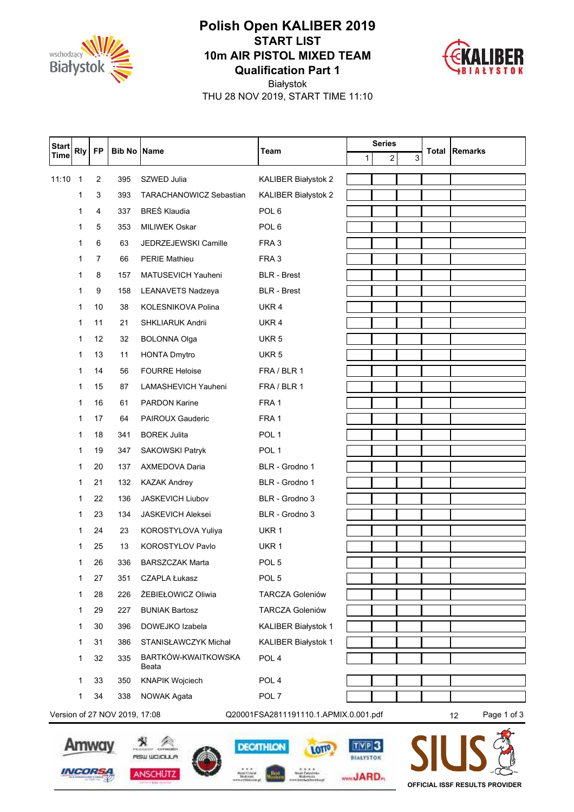

## **Qualification Part 1 10m AIR PISTOL MIXED TEAM START LIST Polish Open KALIBER 2019**



THU 28 NOV 2019, START TIME 11:10 Białystok

| <b>Start</b>                                                                                | <b>Rly</b>   | <b>FP</b> | <b>Bib No Name</b> |                                | Team                   |   | <b>Series</b> |   |       | <b>Remarks</b> |
|---------------------------------------------------------------------------------------------|--------------|-----------|--------------------|--------------------------------|------------------------|---|---------------|---|-------|----------------|
| <b>Time</b>                                                                                 |              |           |                    |                                |                        | 1 | 2             | 3 | Total |                |
| 11:10                                                                                       | 1            | 2         | 395                | SZWED Julia                    | KALIBER Białystok 2    |   |               |   |       |                |
|                                                                                             | 1            | 3         | 393                | <b>TARACHANOWICZ Sebastian</b> | KALIBER Białystok 2    |   |               |   |       |                |
|                                                                                             | 1            | 4         | 337                | <b>BRES Klaudia</b>            | POL <sub>6</sub>       |   |               |   |       |                |
|                                                                                             | 1            | 5         | 353                | <b>MILIWEK Oskar</b>           | POL <sub>6</sub>       |   |               |   |       |                |
|                                                                                             | 1            | 6         | 63                 | JEDRZEJEWSKI Camille           | FRA 3                  |   |               |   |       |                |
|                                                                                             | 1            | 7         | 66                 | <b>PERIE Mathieu</b>           | FRA 3                  |   |               |   |       |                |
|                                                                                             | 1            | 8         | 157                | MATUSEVICH Yauheni             | <b>BLR</b> - Brest     |   |               |   |       |                |
|                                                                                             | 1            | 9         | 158                | <b>LEANAVETS Nadzeya</b>       | <b>BLR</b> - Brest     |   |               |   |       |                |
|                                                                                             | 1            | 10        | 38                 | KOLESNIKOVA Polina             | UKR 4                  |   |               |   |       |                |
|                                                                                             | $\mathbf{1}$ | 11        | 21                 | <b>SHKLIARUK Andrii</b>        | UKR 4                  |   |               |   |       |                |
|                                                                                             | 1            | 12        | 32                 | <b>BOLONNA Olga</b>            | UKR <sub>5</sub>       |   |               |   |       |                |
|                                                                                             | 1            | 13        | 11                 | <b>HONTA Dmytro</b>            | UKR <sub>5</sub>       |   |               |   |       |                |
|                                                                                             | 1            | 14        | 56                 | <b>FOURRE Heloise</b>          | FRA / BLR 1            |   |               |   |       |                |
|                                                                                             | 1            | 15        | 87                 | LAMASHEVICH Yauheni            | FRA / BLR 1            |   |               |   |       |                |
|                                                                                             | 1            | 16        | 61                 | <b>PARDON Karine</b>           | FRA 1                  |   |               |   |       |                |
|                                                                                             | 1            | 17        | 64                 | <b>PAIROUX Gauderic</b>        | FRA 1                  |   |               |   |       |                |
|                                                                                             | 1            | 18        | 341                | <b>BOREK Julita</b>            | POL <sub>1</sub>       |   |               |   |       |                |
|                                                                                             | 1            | 19        | 347                | SAKOWSKI Patryk                | POL <sub>1</sub>       |   |               |   |       |                |
|                                                                                             | 1            | 20        | 137                | AXMEDOVA Daria                 | BLR - Grodno 1         |   |               |   |       |                |
|                                                                                             | 1            | 21        | 132                | <b>KAZAK Andrey</b>            | BLR - Grodno 1         |   |               |   |       |                |
|                                                                                             | 1            | 22        | 136                | <b>JASKEVICH Liubov</b>        | BLR - Grodno 3         |   |               |   |       |                |
|                                                                                             | 1            | 23        | 134                | <b>JASKEVICH Aleksei</b>       | BLR - Grodno 3         |   |               |   |       |                |
|                                                                                             | 1            | 24        | 23                 | KOROSTYLOVA Yuliya             | UKR 1                  |   |               |   |       |                |
|                                                                                             | 1            | 25        | 13                 | <b>KOROSTYLOV Pavlo</b>        | UKR 1                  |   |               |   |       |                |
|                                                                                             | 1            | 26        | 336                | <b>BARSZCZAK Marta</b>         | POL <sub>5</sub>       |   |               |   |       |                |
|                                                                                             | 1            | 27        | 351                | <b>CZAPLA Łukasz</b>           | POL <sub>5</sub>       |   |               |   |       |                |
|                                                                                             | 1            | 28        | 226                | ŻEBIEŁOWICZ Oliwia             | <b>TARCZA Goleniów</b> |   |               |   |       |                |
|                                                                                             | 1            | 29        | 227                | <b>BUNIAK Bartosz</b>          | <b>TARCZA Goleniów</b> |   |               |   |       |                |
|                                                                                             | 1            | 30        | 396                | DOWEJKO Izabela                | KALIBER Białystok 1    |   |               |   |       |                |
|                                                                                             | 1            | 31        | 386                | STANISŁAWCZYK Michał           | KALIBER Białystok 1    |   |               |   |       |                |
|                                                                                             | 1            | 32        | 335                | BARTKÓW-KWAITKOWSKA<br>Beata   | POL <sub>4</sub>       |   |               |   |       |                |
|                                                                                             | 1            | 33        | 350                | <b>KNAPIK Wojciech</b>         | POL <sub>4</sub>       |   |               |   |       |                |
|                                                                                             | 1            | 34        | 338                | <b>NOWAK Agata</b>             | POL 7                  |   |               |   |       |                |
| Version of 27 NOV 2019, 17:08<br>Q20001FSA2811191110.1.APMIX.0.001.pdf<br>Page 1 of 3<br>12 |              |           |                    |                                |                        |   |               |   |       |                |





**DECATHLON** 

**Best** 

Mari Cristal<br>Habyeni

×



TVP<sub>3</sub>

BEALYSTOK

www**JARD**<sub>n</sub>

LOTTO

**Real Extension**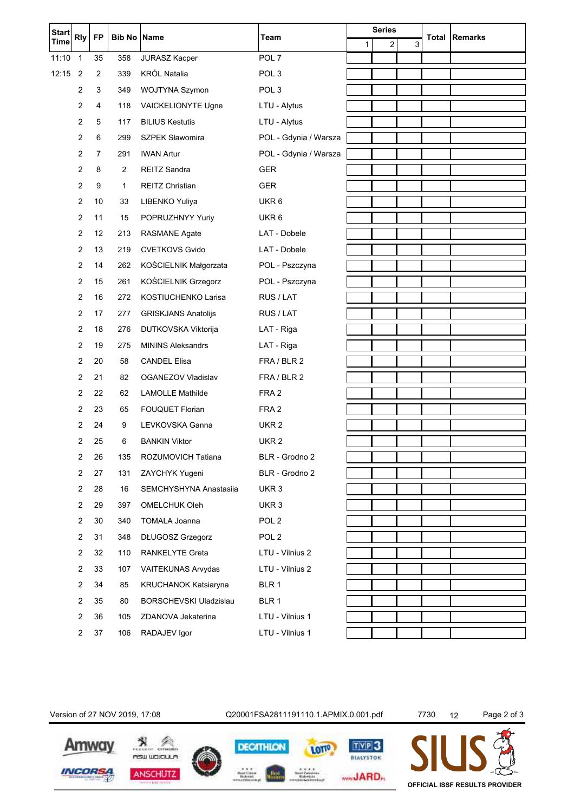| <b>Start</b><br><b>Rly</b> |                | <b>FP</b>      | <b>Bib No Name</b> |                               | Team                  |   | <b>Series</b> |   | <b>Total Remarks</b> |
|----------------------------|----------------|----------------|--------------------|-------------------------------|-----------------------|---|---------------|---|----------------------|
| <b>Time</b>                |                |                |                    |                               |                       | 1 | 2             | 3 |                      |
| 11:10                      | $\overline{1}$ | 35             | 358                | <b>JURASZ Kacper</b>          | POL <sub>7</sub>      |   |               |   |                      |
| 12:15                      | $\overline{2}$ | $\overline{2}$ | 339                | <b>KRÓL Natalia</b>           | POL <sub>3</sub>      |   |               |   |                      |
|                            | 2              | 3              | 349                | WOJTYNA Szymon                | POL <sub>3</sub>      |   |               |   |                      |
|                            | 2              | 4              | 118                | VAICKELIONYTE Ugne            | LTU - Alytus          |   |               |   |                      |
|                            | 2              | 5              | 117                | <b>BILIUS Kestutis</b>        | LTU - Alytus          |   |               |   |                      |
|                            | 2              | 6              | 299                | <b>SZPEK Sławomira</b>        | POL - Gdynia / Warsza |   |               |   |                      |
|                            | 2              | $\overline{7}$ | 291                | <b>IWAN Artur</b>             | POL - Gdynia / Warsza |   |               |   |                      |
|                            | 2              | 8              | $\overline{2}$     | <b>REITZ Sandra</b>           | <b>GER</b>            |   |               |   |                      |
|                            | 2              | 9              | $\mathbf{1}$       | <b>REITZ Christian</b>        | <b>GER</b>            |   |               |   |                      |
|                            | 2              | 10             | 33                 | LIBENKO Yuliya                | UKR <sub>6</sub>      |   |               |   |                      |
|                            | 2              | 11             | 15                 | POPRUZHNYY Yuriy              | UKR <sub>6</sub>      |   |               |   |                      |
|                            | 2              | 12             | 213                | <b>RASMANE Agate</b>          | LAT - Dobele          |   |               |   |                      |
|                            | 2              | 13             | 219                | <b>CVETKOVS Gvido</b>         | LAT - Dobele          |   |               |   |                      |
|                            | 2              | 14             | 262                | KOŚCIELNIK Małgorzata         | POL - Pszczyna        |   |               |   |                      |
|                            | 2              | 15             | 261                | KOŚCIELNIK Grzegorz           | POL - Pszczyna        |   |               |   |                      |
|                            | 2              | 16             | 272                | KOSTIUCHENKO Larisa           | RUS / LAT             |   |               |   |                      |
|                            | 2              | 17             | 277                | <b>GRISKJANS Anatolijs</b>    | RUS / LAT             |   |               |   |                      |
|                            | 2              | 18             | 276                | DUTKOVSKA Viktorija           | LAT - Riga            |   |               |   |                      |
|                            | 2              | 19             | 275                | <b>MININS Aleksandrs</b>      | LAT - Riga            |   |               |   |                      |
|                            | 2              | 20             | 58                 | <b>CANDEL Elisa</b>           | FRA / BLR 2           |   |               |   |                      |
|                            | 2              | 21             | 82                 | OGANEZOV Vladislav            | FRA / BLR 2           |   |               |   |                      |
|                            | 2              | 22             | 62                 | <b>LAMOLLE Mathilde</b>       | FRA <sub>2</sub>      |   |               |   |                      |
|                            | 2              | 23             | 65                 | FOUQUET Florian               | FRA <sub>2</sub>      |   |               |   |                      |
|                            | 2              | 24             | 9                  | LEVKOVSKA Ganna               | UKR <sub>2</sub>      |   |               |   |                      |
|                            | 2              | 25             | 6                  | <b>BANKIN Viktor</b>          | UKR <sub>2</sub>      |   |               |   |                      |
|                            | 2              | 26             | 135                | ROZUMOVICH Tatiana            | BLR - Grodno 2        |   |               |   |                      |
|                            | 2              | 27             | 131                | ZAYCHYK Yugeni                | BLR - Grodno 2        |   |               |   |                      |
|                            | 2              | 28             | 16                 | SEMCHYSHYNA Anastasiia        | UKR <sub>3</sub>      |   |               |   |                      |
|                            | 2              | 29             | 397                | OMELCHUK Oleh                 | UKR <sub>3</sub>      |   |               |   |                      |
|                            | 2              | 30             | 340                | <b>TOMALA Joanna</b>          | POL <sub>2</sub>      |   |               |   |                      |
|                            | 2              | 31             | 348                | DŁUGOSZ Grzegorz              | POL <sub>2</sub>      |   |               |   |                      |
|                            | 2              | 32             | 110                | <b>RANKELYTE Greta</b>        | LTU - Vilnius 2       |   |               |   |                      |
|                            | $\overline{2}$ | 33             | 107                | VAITEKUNAS Arvydas            | LTU - Vilnius 2       |   |               |   |                      |
|                            | 2              | 34             | 85                 | KRUCHANOK Katsiaryna          | BLR 1                 |   |               |   |                      |
|                            | 2              | 35             | 80                 | <b>BORSCHEVSKI Uladzislau</b> | BLR 1                 |   |               |   |                      |
|                            | 2              | 36             | 105                | ZDANOVA Jekaterina            | LTU - Vilnius 1       |   |               |   |                      |
|                            | 2              | 37             | 106                | RADAJEV Igor                  | LTU - Vilnius 1       |   |               |   |                      |